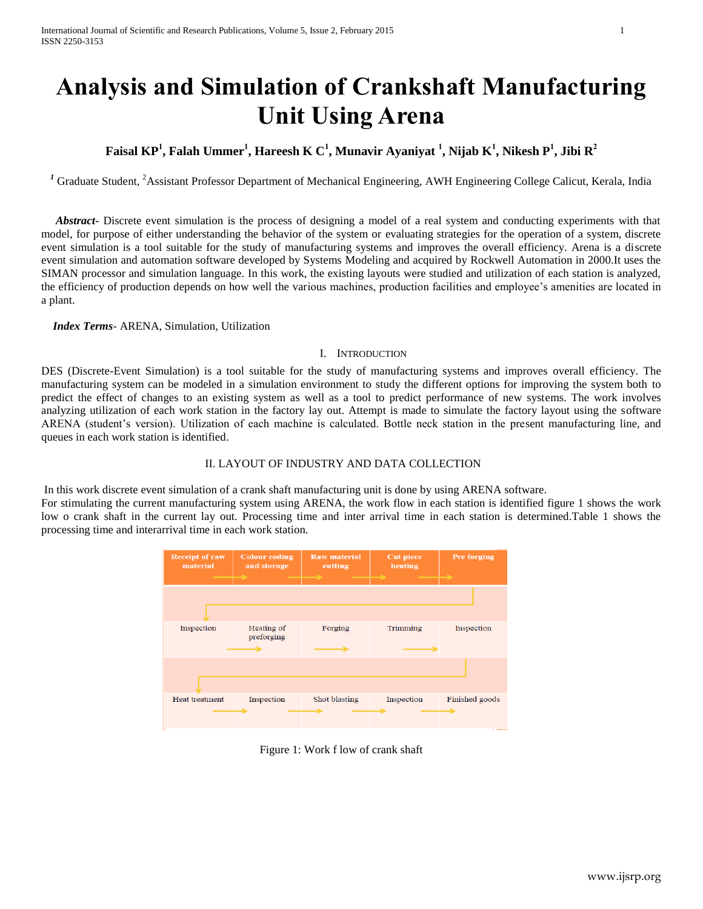# **Analysis and Simulation of Crankshaft Manufacturing Unit Using Arena**

### **Faisal KP<sup>1</sup> , Falah Ummer<sup>1</sup> , Hareesh K C<sup>1</sup> , Munavir Ayaniyat <sup>1</sup> , Nijab K<sup>1</sup> , Nikesh P<sup>1</sup> , Jibi R<sup>2</sup>**

<sup>*1*</sup> Graduate Student, <sup>2</sup>Assistant Professor Department of Mechanical Engineering, AWH Engineering College Calicut, Kerala, India

 *Abstract***-** Discrete event simulation is the process of designing a model of a real system and conducting experiments with that model, for purpose of either understanding the behavior of the system or evaluating strategies for the operation of a system, discrete event simulation is a tool suitable for the study of manufacturing systems and improves the overall efficiency. Arena is a discrete event simulation and automation software developed by Systems Modeling and acquired by Rockwell Automation in 2000.It uses the SIMAN processor and simulation language. In this work, the existing layouts were studied and utilization of each station is analyzed, the efficiency of production depends on how well the various machines, production facilities and employee's amenities are located in a plant.

 *Index Terms*- ARENA, Simulation, Utilization

#### I. INTRODUCTION

DES (Discrete-Event Simulation) is a tool suitable for the study of manufacturing systems and improves overall efficiency. The manufacturing system can be modeled in a simulation environment to study the different options for improving the system both to predict the effect of changes to an existing system as well as a tool to predict performance of new systems. The work involves analyzing utilization of each work station in the factory lay out. Attempt is made to simulate the factory layout using the software ARENA (student's version). Utilization of each machine is calculated. Bottle neck station in the present manufacturing line, and queues in each work station is identified.

### II. LAYOUT OF INDUSTRY AND DATA COLLECTION

In this work discrete event simulation of a crank shaft manufacturing unit is done by using ARENA software.

For stimulating the current manufacturing system using ARENA, the work flow in each station is identified figure 1 shows the work low o crank shaft in the current lay out. Processing time and inter arrival time in each station is determined.Table 1 shows the processing time and interarrival time in each work station.



Figure 1: Work f low of crank shaft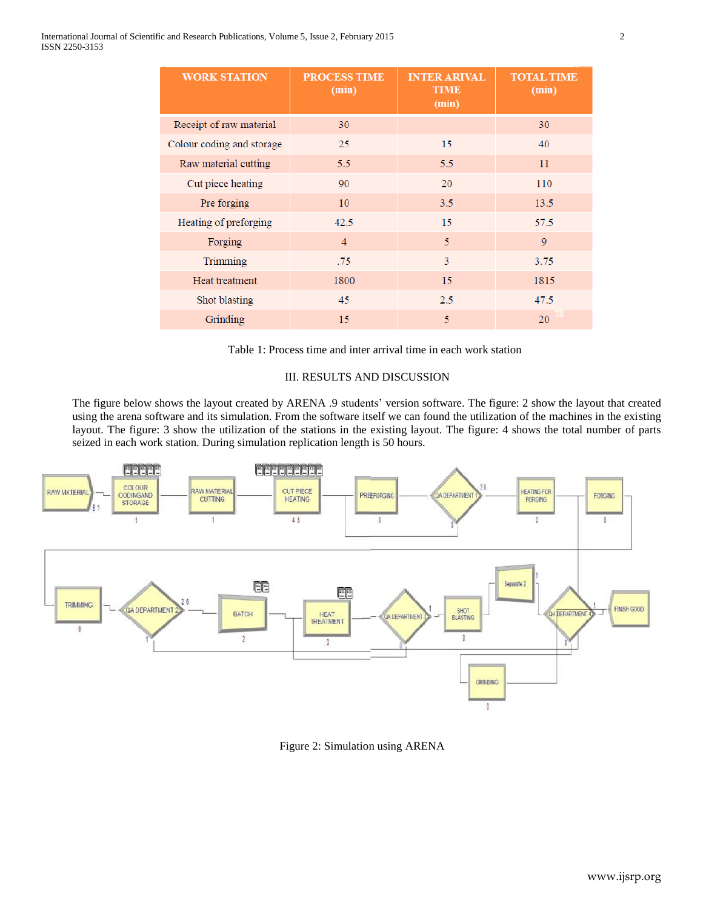| <b>WORK STATION</b>       | <b>PROCESS TIME</b><br>$(\min)$ | <b>INTER ARIVAL</b><br><b>TIME</b><br>(min) | <b>TOTAL TIME</b><br>(min) |
|---------------------------|---------------------------------|---------------------------------------------|----------------------------|
| Receipt of raw material   | 30                              |                                             | 30                         |
| Colour coding and storage | 25                              | 15                                          | 40                         |
| Raw material cutting      | 5.5                             | 5.5                                         | 11                         |
| Cut piece heating         | 90                              | 20                                          | 110                        |
| Pre forging               | 10                              | 3.5                                         | 13.5                       |
| Heating of preforging     | 42.5                            | 15                                          | 57.5                       |
| Forging                   | $\overline{4}$                  | 5                                           | $\overline{Q}$             |
| Trimming                  | .75                             | 3                                           | 3.75                       |
| Heat treatment            | 1800                            | 15                                          | 1815                       |
| Shot blasting             | 45                              | 2.5                                         | 47.5                       |
| Grinding                  | 15                              | 5                                           | 20                         |

Table 1: Process time and inter arrival time in each work station

#### III. RESULTS AND DISCUSSION

The figure below shows the layout created by ARENA .9 students' version software. The figure: 2 show the layout that created using the arena software and its simulation. From the software itself we can found the utilization of the machines in the existing layout. The figure: 3 show the utilization of the stations in the existing layout. The figure: 4 shows the total number of parts seized in each work station. During simulation replication length is 50 hours.



Figure 2: Simulation using ARENA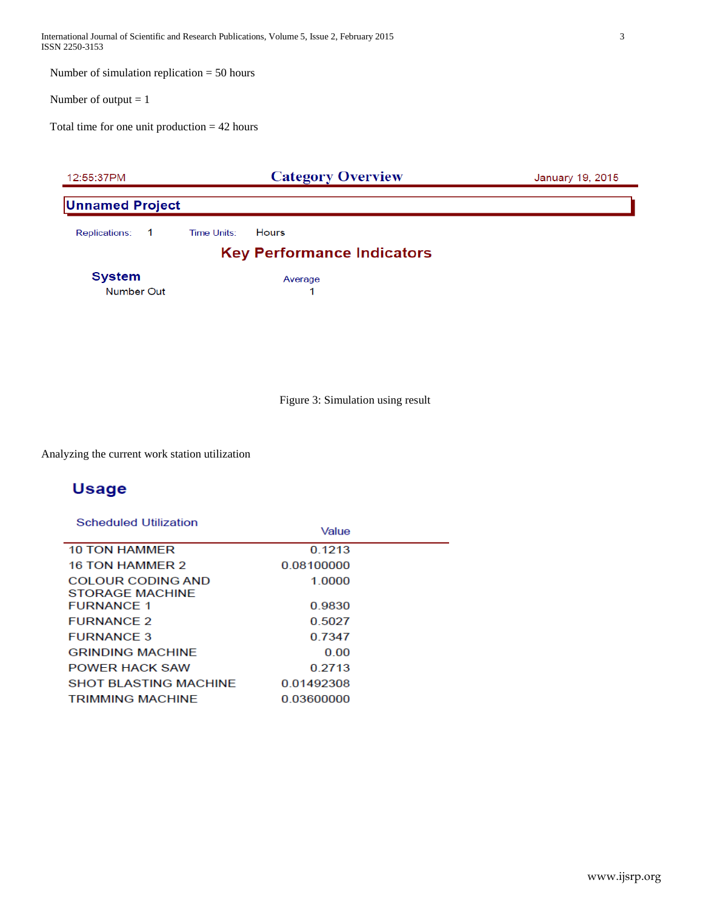International Journal of Scientific and Research Publications, Volume 5, Issue 2, February 2015 3 ISSN 2250-3153

Number of simulation replication = 50 hours

Number of output  $= 1$ 

Total time for one unit production = 42 hours



Figure 3: Simulation using result

Analyzing the current work station utilization

### **Usage**

| Scheduled Utilization                       | Value      |  |
|---------------------------------------------|------------|--|
| <b>10 TON HAMMER</b>                        | 0.1213     |  |
| <b>16 TON HAMMER 2</b>                      | 0.08100000 |  |
| COLOUR CODING AND                           | 1 0000     |  |
| <b>STORAGE MACHINE</b><br><b>FURNANCE 1</b> | 0.9830     |  |
| <b>FURNANCE 2</b>                           | 0.5027     |  |
| <b>FURNANCE 3</b>                           | 0.7347     |  |
| <b>GRINDING MACHINE</b>                     | 0.00       |  |
| <b>POWER HACK SAW</b>                       | 0.2713     |  |
| <b>SHOT BI ASTING MACHINE</b>               | 001492308  |  |
| <b>TRIMMING MACHINE</b>                     | 0.03600000 |  |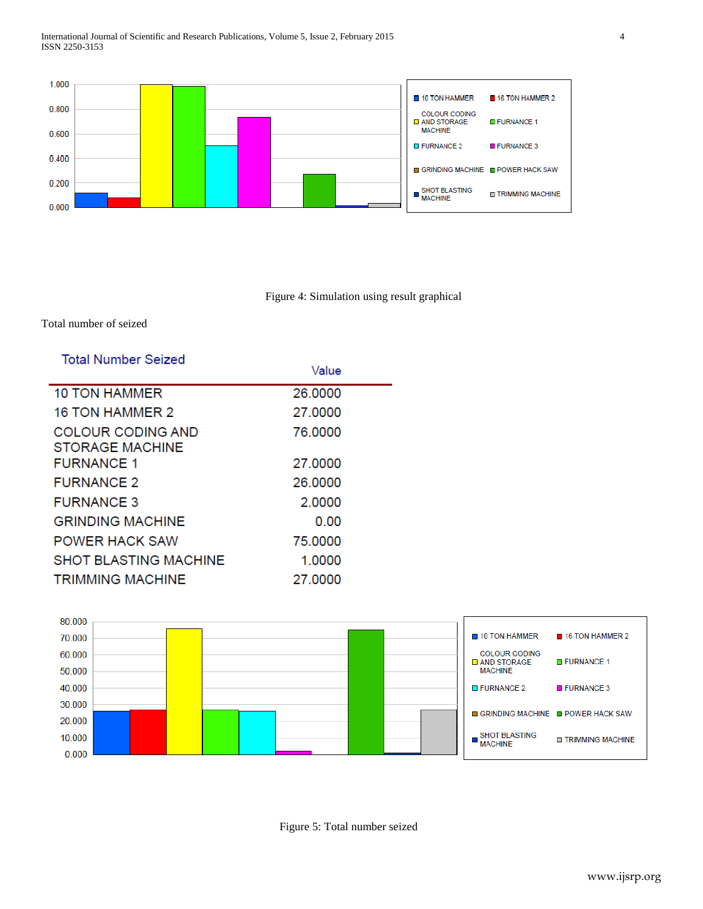

Figure 4: Simulation using result graphical

### Total number of seized

| <b>Total Number Seized</b>                         | Value   |  |
|----------------------------------------------------|---------|--|
| 10 TON HAMMER                                      | 26.0000 |  |
| <b>16 TON HAMMER 2</b>                             | 27.0000 |  |
| <b>COLOUR CODING AND</b><br><b>STORAGE MACHINE</b> | 76,0000 |  |
| <b>FURNANCE 1</b>                                  | 27,0000 |  |
| <b>FURNANCE 2</b>                                  | 26,0000 |  |
| <b>FURNANCE 3</b>                                  | 2.0000  |  |
| <b>GRINDING MACHINE</b>                            | 0.00    |  |
| <b>POWER HACK SAW</b>                              | 75,0000 |  |
| <b>SHOT BLASTING MACHINE</b>                       | 1.0000  |  |
| <b>TRIMMING MACHINE</b>                            | 27,0000 |  |



Figure 5: Total number seized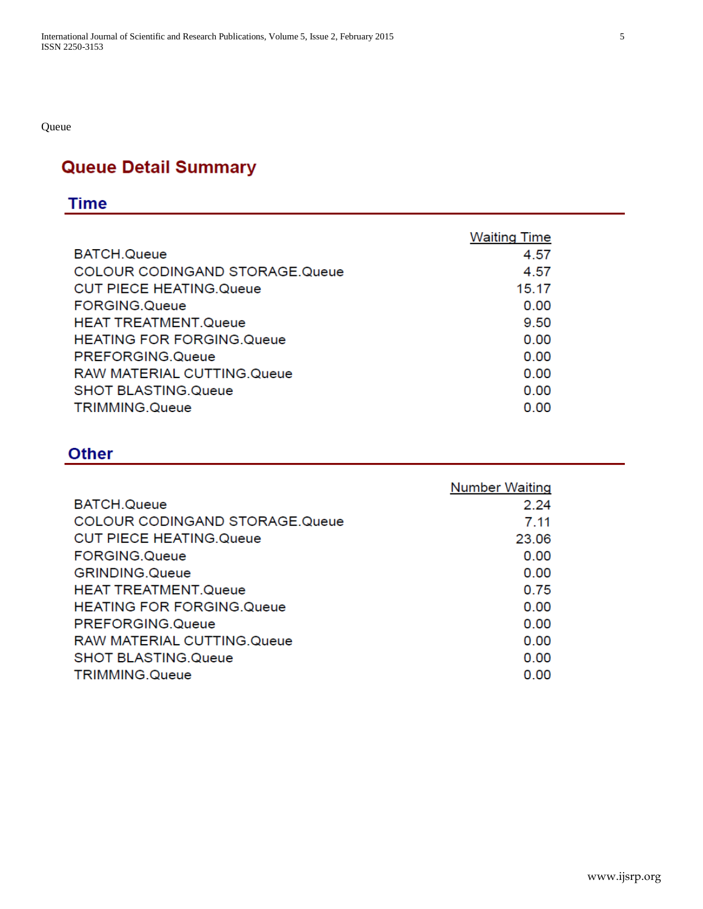Queue

## **Queue Detail Summary**

### **Time**

|                                       | <b>Waiting Time</b> |
|---------------------------------------|---------------------|
| <b>BATCH.Queue</b>                    | 4.57                |
| <b>COLOUR CODINGAND STORAGE.Queue</b> | 4.57                |
| <b>CUT PIECE HEATING.Queue</b>        | 15.17               |
| <b>FORGING.Queue</b>                  | 0.00                |
| <b>HEAT TREATMENT.Queue</b>           | 9.50                |
| <b>HEATING FOR FORGING Queue</b>      | 0.00                |
| PREFORGING.Queue                      | 0.00                |
| <b>RAW MATERIAL CUTTING.Queue</b>     | 0.00                |
| <b>SHOT BLASTING.Queue</b>            | 0.00                |
| TRIMMING.Queue                        | 0.00                |

### **Other**

|                                       | <b>Number Waiting</b> |
|---------------------------------------|-----------------------|
| BATCH.Queue                           | 2.24                  |
| <b>COLOUR CODINGAND STORAGE.Queue</b> | 7.11                  |
| <b>CUT PIECE HEATING.Queue</b>        | 23.06                 |
| FORGING.Queue                         | 0.00                  |
| <b>GRINDING.Queue</b>                 | 0.00                  |
| <b>HEAT TREATMENT.Queue</b>           | 0.75                  |
| <b>HEATING FOR FORGING Queue</b>      | 0.00                  |
| PREFORGING.Queue                      | 0.00                  |
| RAW MATERIAL CUTTING Queue            | 0.00                  |
| <b>SHOT BLASTING.Queue</b>            | 0.00                  |
| TRIMMING.Queue                        | 0.00                  |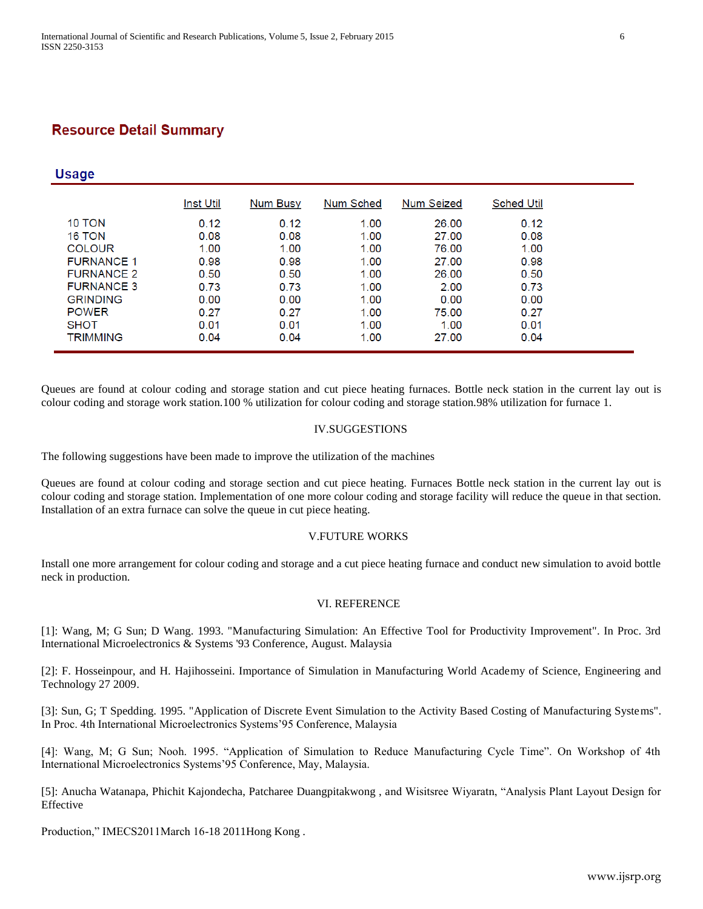### **Resource Detail Summary**

### **Usage**

|                   | <b>Inst Util</b> | Num Busy | Num Sched | Num Seized | <b>Sched Util</b> |
|-------------------|------------------|----------|-----------|------------|-------------------|
| 10 TON            | 0.12             | 0.12     | 1.00      | 26.00      | 0.12              |
| <b>16 TON</b>     | 0.08             | 0.08     | 1.00      | 27.00      | 0.08              |
| <b>COLOUR</b>     | 1.00             | 1.00     | 1.00      | 76.00      | 1.00              |
| <b>FURNANCE 1</b> | 0.98             | 0.98     | 1.00      | 27.00      | 0.98              |
| <b>FURNANCE 2</b> | 0.50             | 0.50     | 1.00      | 26.00      | 0.50              |
| <b>FURNANCE 3</b> | 0.73             | 0.73     | 1.00      | 2.00       | 0.73              |
| <b>GRINDING</b>   | 0.00             | 0.00     | 1.00      | 0.00       | 0.00              |
| <b>POWER</b>      | 0.27             | 0.27     | 1.00      | 75.00      | 0.27              |
| <b>SHOT</b>       | 0.01             | 0.01     | 1.00      | 1.00       | 0.01              |
| <b>TRIMMING</b>   | 0.04             | 0.04     | 1.00      | 27.00      | 0.04              |

Queues are found at colour coding and storage station and cut piece heating furnaces. Bottle neck station in the current lay out is colour coding and storage work station.100 % utilization for colour coding and storage station.98% utilization for furnace 1.

### IV.SUGGESTIONS

The following suggestions have been made to improve the utilization of the machines

Queues are found at colour coding and storage section and cut piece heating. Furnaces Bottle neck station in the current lay out is colour coding and storage station. Implementation of one more colour coding and storage facility will reduce the queue in that section. Installation of an extra furnace can solve the queue in cut piece heating.

#### V.FUTURE WORKS

Install one more arrangement for colour coding and storage and a cut piece heating furnace and conduct new simulation to avoid bottle neck in production.

#### VI. REFERENCE

[1]: Wang, M; G Sun; D Wang. 1993. "Manufacturing Simulation: An Effective Tool for Productivity Improvement". In Proc. 3rd International Microelectronics & Systems '93 Conference, August. Malaysia

[2]: F. Hosseinpour, and H. Hajihosseini. Importance of Simulation in Manufacturing World Academy of Science, Engineering and Technology 27 2009.

[3]: Sun, G; T Spedding. 1995. "Application of Discrete Event Simulation to the Activity Based Costing of Manufacturing Systems". In Proc. 4th International Microelectronics Systems'95 Conference, Malaysia

[4]: Wang, M; G Sun; Nooh. 1995. "Application of Simulation to Reduce Manufacturing Cycle Time". On Workshop of 4th International Microelectronics Systems'95 Conference, May, Malaysia.

[5]: Anucha Watanapa, Phichit Kajondecha, Patcharee Duangpitakwong , and Wisitsree Wiyaratn, "Analysis Plant Layout Design for Effective

Production," IMECS2011March 16-18 2011Hong Kong .